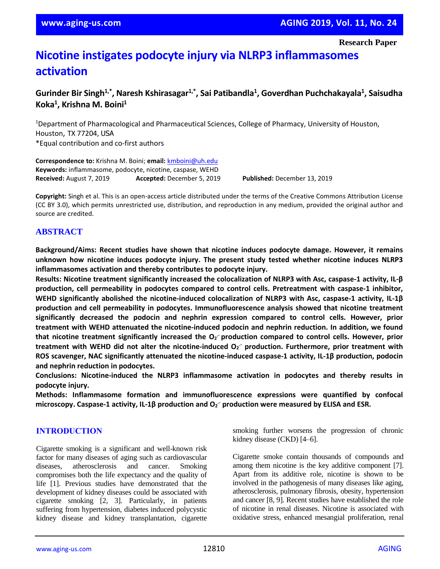**Research Paper**

# **Nicotine instigates podocyte injury via NLRP3 inflammasomes activation**

## **Gurinder Bir Singh1,\* , Naresh Kshirasagar1,\* , Sai Patibandla<sup>1</sup> , Goverdhan Puchchakayala<sup>1</sup> , Saisudha Koka<sup>1</sup> , Krishna M. Boini<sup>1</sup>**

<sup>1</sup>Department of Pharmacological and Pharmaceutical Sciences, College of Pharmacy, University of Houston, Houston, TX 77204, USA \*Equal contribution and co-first authors

**Correspondence to:** Krishna M. Boini; **email:** [kmboini@uh.edu](mailto:kmboini@uh.edu) **Keywords:** inflammasome, podocyte, nicotine, caspase, WEHD **Received:** August 7, 2019 **Accepted:** December 5, 2019 **Published:** December 13, 2019

**Copyright:** Singh et al. This is an open-access article distributed under the terms of the Creative Commons Attribution License (CC BY 3.0), which permits unrestricted use, distribution, and reproduction in any medium, provided the original author and source are credited.

## **ABSTRACT**

**Background/Aims: Recent studies have shown that nicotine induces podocyte damage. However, it remains unknown how nicotine induces podocyte injury. The present study tested whether nicotine induces NLRP3 inflammasomes activation and thereby contributes to podocyte injury.**

**Results: Nicotine treatment significantly increased the colocalization of NLRP3 with Asc, caspase-1 activity, IL-β production, cell permeability in podocytes compared to control cells. Pretreatment with caspase-1 inhibitor, WEHD significantly abolished the nicotine-induced colocalization of NLRP3 with Asc, caspase-1 activity, IL-1β production and cell permeability in podocytes. Immunofluorescence analysis showed that nicotine treatment significantly decreased the podocin and nephrin expression compared to control cells. However, prior treatment with WEHD attenuated the nicotine-induced podocin and nephrin reduction. In addition, we found that nicotine treatment significantly increased the O<sup>2</sup> .- production compared to control cells. However, prior treatment with WEHD did not alter the nicotine-induced O<sup>2</sup> .- production. Furthermore, prior treatment with ROS scavenger, NAC significantly attenuated the nicotine-induced caspase-1 activity, IL-1β production, podocin and nephrin reduction in podocytes.**

**Conclusions: Nicotine-induced the NLRP3 inflammasome activation in podocytes and thereby results in podocyte injury.**

**Methods: Inflammasome formation and immunofluorescence expressions were quantified by confocal microscopy. Caspase-1 activity, IL-1β production and O<sup>2</sup> .- production were measured by ELISA and ESR.**

## **INTRODUCTION**

Cigarette smoking is a significant and well-known risk factor for many diseases of aging such as cardiovascular diseases, atherosclerosis and cancer. Smoking compromises both the life expectancy and the quality of life [1]. Previous studies have demonstrated that the development of kidney diseases could be associated with cigarette smoking [2, 3]. Particularly, in patients suffering from hypertension, diabetes induced polycystic kidney disease and kidney transplantation, cigarette smoking further worsens the progression of chronic kidney disease (CKD) [4–6].

Cigarette smoke contain thousands of compounds and among them nicotine is the key additive component [7]. Apart from its additive role, nicotine is shown to be involved in the pathogenesis of many diseases like aging, atherosclerosis, pulmonary fibrosis, obesity, hypertension and cancer [8, 9]. Recent studies have established the role of nicotine in renal diseases. Nicotine is associated with oxidative stress, enhanced mesangial proliferation, renal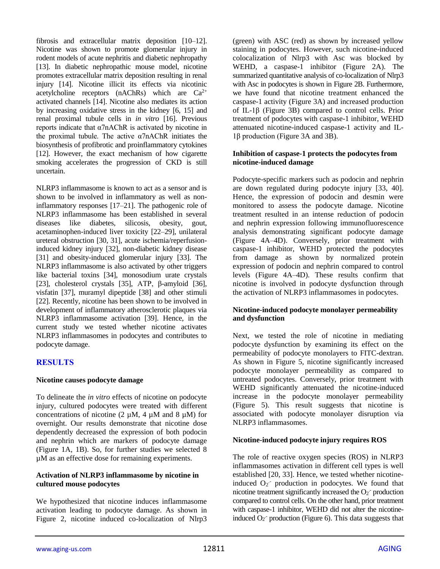fibrosis and extracellular matrix deposition [10–12]. Nicotine was shown to promote glomerular injury in rodent models of acute nephritis and diabetic nephropathy [13]. In diabetic nephropathic mouse model, nicotine promotes extracellular matrix deposition resulting in renal injury [14]. Nicotine illicit its effects via nicotinic acetylcholine receptors (nAChRs) which are  $Ca^{2+}$ activated channels [14]. Nicotine also mediates its action by increasing oxidative stress in the kidney [6, 15] and renal proximal tubule cells in *in vitro* [16]. Previous reports indicate that α7nAChR is activated by nicotine in the proximal tubule. The active  $\alpha$ 7nAChR initiates the biosynthesis of profibrotic and proinflammatory cytokines [12]. However, the exact mechanism of how cigarette smoking accelerates the progression of CKD is still uncertain.

NLRP3 inflammasome is known to act as a sensor and is shown to be involved in inflammatory as well as noninflammatory responses [17–21]. The pathogenic role of NLRP3 inflammasome has been established in several diseases like diabetes, silicosis, obesity, gout, acetaminophen-induced liver toxicity [22–29], unilateral ureteral obstruction [30, 31], acute ischemia/reperfusioninduced kidney injury [32], non-diabetic kidney disease [31] and obesity-induced glomerular injury [33]. The NLRP3 inflammasome is also activated by other triggers like bacterial toxins [34], monosodium urate crystals [23], cholesterol crystals [35], ATP, β-amyloid [36], visfatin [37], muramyl dipeptide [38] and other stimuli [22]. Recently, nicotine has been shown to be involved in development of inflammatory atherosclerotic plaques via NLRP3 inflammasome activation [39]. Hence, in the current study we tested whether nicotine activates NLRP3 inflammasomes in podocytes and contributes to podocyte damage.

## **RESULTS**

#### **Nicotine causes podocyte damage**

To delineate the *in vitro* effects of nicotine on podocyte injury, cultured podocytes were treated with different concentrations of nicotine (2  $\mu$ M, 4  $\mu$ M and 8  $\mu$ M) for overnight. Our results demonstrate that nicotine dose dependently decreased the expression of both podocin and nephrin which are markers of podocyte damage (Figure 1A, 1B). So, for further studies we selected 8 µM as an effective dose for remaining experiments.

#### **Activation of NLRP3 inflammasome by nicotine in cultured mouse podocytes**

We hypothesized that nicotine induces inflammasome activation leading to podocyte damage. As shown in Figure 2, nicotine induced co-localization of Nlrp3 (green) with ASC (red) as shown by increased yellow staining in podocytes. However, such nicotine-induced colocalization of Nlrp3 with Asc was blocked by WEHD, a caspase-1 inhibitor (Figure 2A). The summarized quantitative analysis of co-localization of Nlrp3 with Asc in podocytes is shown in Figure 2B. Furthermore, we have found that nicotine treatment enhanced the caspase-1 activity (Figure 3A) and increased production of IL-1β (Figure 3B) compared to control cells. Prior treatment of podocytes with caspase-1 inhibitor, WEHD attenuated nicotine-induced caspase-1 activity and IL-1β production (Figure 3A and 3B).

#### **Inhibition of caspase-1 protects the podocytes from nicotine-induced damage**

Podocyte-specific markers such as podocin and nephrin are down regulated during podocyte injury [33, 40]. Hence, the expression of podocin and desmin were monitored to assess the podocyte damage. Nicotine treatment resulted in an intense reduction of podocin and nephrin expression following immunofluorescence analysis demonstrating significant podocyte damage (Figure 4A–4D). Conversely, prior treatment with caspase-1 inhibitor, WEHD protected the podocytes from damage as shown by normalized protein expression of podocin and nephrin compared to control levels (Figure 4A–4D). These results confirm that nicotine is involved in podocyte dysfunction through the activation of NLRP3 inflammasomes in podocytes.

## **Nicotine-induced podocyte monolayer permeability and dysfunction**

Next, we tested the role of nicotine in mediating podocyte dysfunction by examining its effect on the permeability of podocyte monolayers to FITC-dextran. As shown in Figure 5, nicotine significantly increased podocyte monolayer permeability as compared to untreated podocytes. Conversely, prior treatment with WEHD significantly attenuated the nicotine-induced increase in the podocyte monolayer permeability (Figure 5). This result suggests that nicotine is associated with podocyte monolayer disruption via NLRP3 inflammasomes.

## **Nicotine-induced podocyte injury requires ROS**

The role of reactive oxygen species (ROS) in NLRP3 inflammasomes activation in different cell types is well established [20, 33]. Hence, we tested whether nicotineinduced  $O_2$  production in podocytes. We found that nicotine treatment significantly increased the  $O_2$ <sup>-</sup> production compared to control cells. On the other hand, prior treatment with caspase-1 inhibitor, WEHD did not alter the nicotineinduced  $O_2$ <sup>-</sup> production (Figure 6). This data suggests that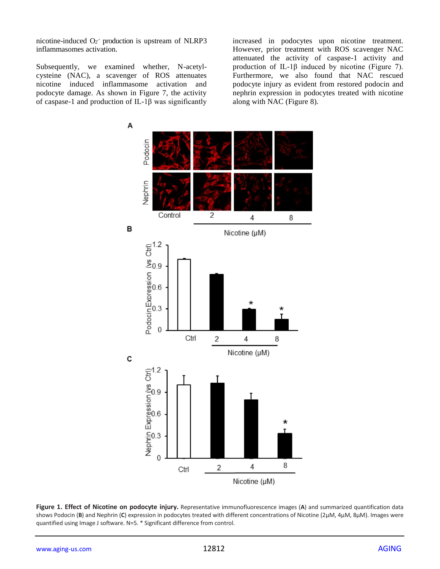nicotine-induced  $O_2$ <sup>-</sup> production is upstream of NLRP3 inflammasomes activation.

Subsequently, we examined whether, N-acetylcysteine (NAC), a scavenger of ROS attenuates nicotine induced inflammasome activation and podocyte damage. As shown in Figure 7, the activity of caspase-1 and production of IL-1β was significantly

increased in podocytes upon nicotine treatment. However, prior treatment with ROS scavenger NAC attenuated the activity of caspase-1 activity and production of IL-1β induced by nicotine (Figure 7). Furthermore, we also found that NAC rescued podocyte injury as evident from restored podocin and nephrin expression in podocytes treated with nicotine along with NAC (Figure 8).



**Figure 1. Effect of Nicotine on podocyte injury.** Representative immunofluorescence images (**A**) and summarized quantification data shows Podocin (**B**) and Nephrin (**C**) expression in podocytes treated with different concentrations of Nicotine (2µM, 4µM, 8µM). Images were quantified using Image J software. N=5. \* Significant difference from control.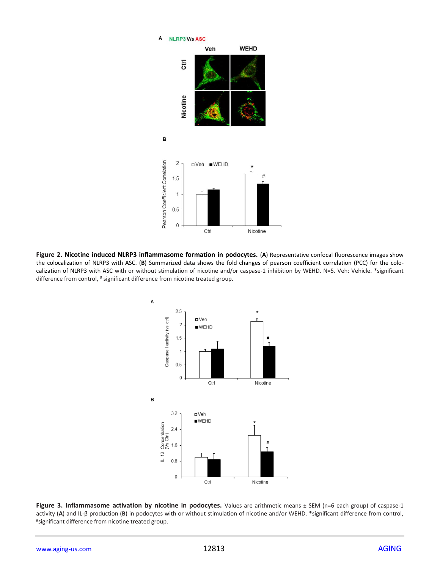

**Figure 2. Nicotine induced NLRP3 inflammasome formation in podocytes.** (**A**) Representative confocal fluorescence images show the colocalization of NLRP3 with ASC. (**B**) Summarized data shows the fold changes of pearson coefficient correlation (PCC) for the colocalization of NLRP3 with ASC with or without stimulation of nicotine and/or caspase-1 inhibition by WEHD. N=5. Veh: Vehicle. \*significant difference from control, # significant difference from nicotine treated group.



**Figure 3. Inflammasome activation by nicotine in podocytes.** Values are arithmetic means ± SEM (n=6 each group) of caspase-1 activity (**A**) and IL-β production (**B**) in podocytes with or without stimulation of nicotine and/or WEHD. \*significant difference from control, #significant difference from nicotine treated group.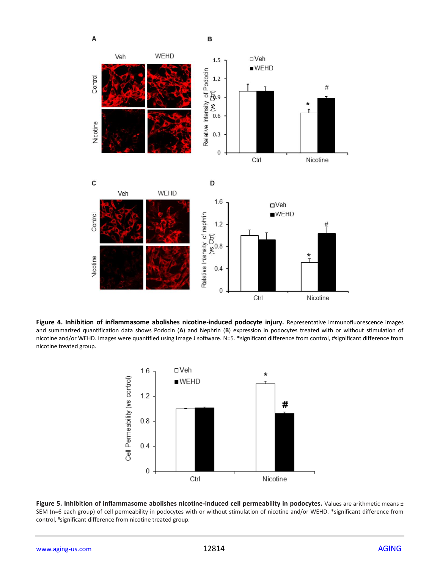

**Figure 4. Inhibition of inflammasome abolishes nicotine-induced podocyte injury.** Representative immunofluorescence images and summarized quantification data shows Podocin (**A**) and Nephrin (**B**) expression in podocytes treated with or without stimulation of nicotine and/or WEHD. Images were quantified using Image J software. N=5. \*significant difference from control, #significant difference from nicotine treated group.



**Figure 5. Inhibition of inflammasome abolishes nicotine-induced cell permeability in podocytes.** Values are arithmetic means ± SEM (n=6 each group) of cell permeability in podocytes with or without stimulation of nicotine and/or WEHD. \*significant difference from control, #significant difference from nicotine treated group.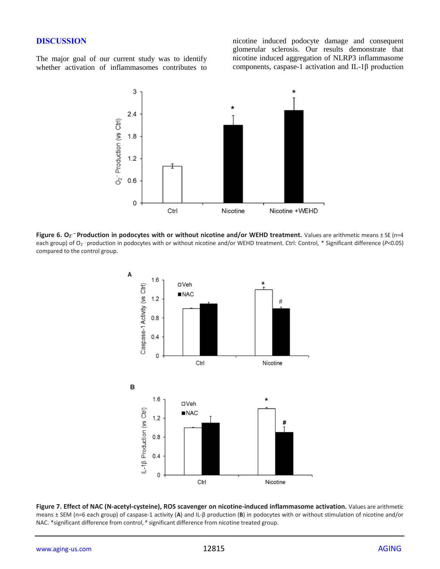## **DISCUSSION**

The major goal of our current study was to identify whether activation of inflammasomes contributes to nicotine induced podocyte damage and consequent glomerular sclerosis. Our results demonstrate that nicotine induced aggregation of NLRP3 inflammasome components, caspase-1 activation and IL-1β production



Figure 6. O<sub>2</sub><sup>-</sup> Production in podocytes with or without nicotine and/or WEHD treatment. Values are arithmetic means ± SE (n=4 each group) of O<sub>2</sub> production in podocytes with or without nicotine and/or WEHD treatment. Ctrl: Control, \* Significant difference (*P<*0.05) compared to the control group.



**Figure 7. Effect of NAC (N-acetyl-cysteine), ROS scavenger on nicotine-induced inflammasome activation.** Values are arithmetic means ± SEM (n=6 each group) of caspase-1 activity (**A**) and IL-β production (**B**) in podocytes with or without stimulation of nicotine and/or NAC. \*significant difference from control, # significant difference from nicotine treated group.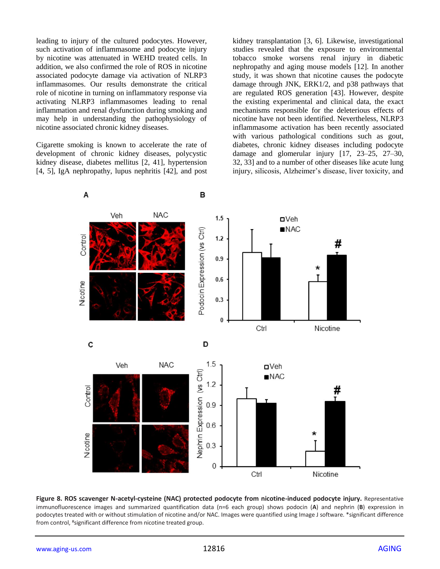leading to injury of the cultured podocytes. However, such activation of inflammasome and podocyte injury by nicotine was attenuated in WEHD treated cells. In addition, we also confirmed the role of ROS in nicotine associated podocyte damage via activation of NLRP3 inflammasomes. Our results demonstrate the critical role of nicotine in turning on inflammatory response via activating NLRP3 inflammasomes leading to renal inflammation and renal dysfunction during smoking and may help in understanding the pathophysiology of nicotine associated chronic kidney diseases.

Cigarette smoking is known to accelerate the rate of development of chronic kidney diseases, polycystic kidney disease, diabetes mellitus [2, 41], hypertension [4, 5], IgA nephropathy, lupus nephritis [42], and post kidney transplantation [3, 6]. Likewise, investigational studies revealed that the exposure to environmental tobacco smoke worsens renal injury in diabetic nephropathy and aging mouse models [12]. In another study, it was shown that nicotine causes the podocyte damage through JNK, ERK1/2, and p38 pathways that are regulated ROS generation [43]. However, despite the existing experimental and clinical data, the exact mechanisms responsible for the deleterious effects of nicotine have not been identified. Nevertheless, NLRP3 inflammasome activation has been recently associated with various pathological conditions such as gout, diabetes, chronic kidney diseases including podocyte damage and glomerular injury [17, 23–25, 27–30, 32, 33] and to a number of other diseases like acute lung injury, silicosis, Alzheimer's disease, liver toxicity, and



**Figure 8. ROS scavenger N-acetyl-cysteine (NAC) protected podocyte from nicotine-induced podocyte injury.** Representative immunofluorescence images and summarized quantification data (n=6 each group) shows podocin (**A**) and nephrin (**B**) expression in podocytes treated with or without stimulation of nicotine and/or NAC. Images were quantified using Image J software. \*significant difference from control, #significant difference from nicotine treated group.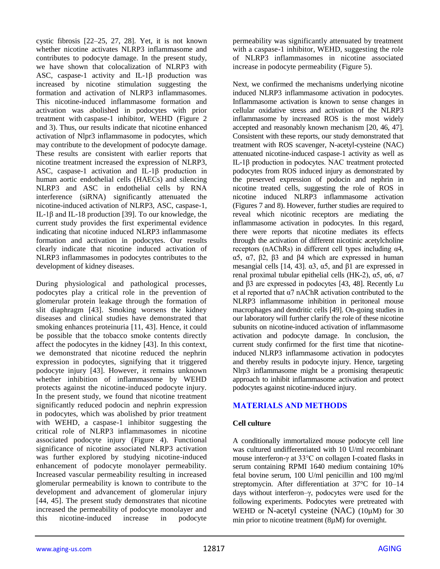cystic fibrosis [22–25, 27, 28]. Yet, it is not known whether nicotine activates NLRP3 inflammasome and contributes to podocyte damage. In the present study, we have shown that colocalization of NLRP3 with ASC, caspase-1 activity and IL-1β production was increased by nicotine stimulation suggesting the formation and activation of NLRP3 inflammasomes. This nicotine-induced inflammasome formation and activation was abolished in podocytes with prior treatment with caspase-1 inhibitor, WEHD (Figure 2 and 3). Thus, our results indicate that nicotine enhanced activation of Nlpr3 inflammasome in podocytes, which may contribute to the development of podocyte damage. These results are consistent with earlier reports that nicotine treatment increased the expression of NLRP3, ASC, caspase-1 activation and IL-1β production in human aortic endothelial cells (HAECs) and silencing NLRP3 and ASC in endothelial cells by RNA interference (siRNA) significantly attenuated the nicotine-induced activation of NLRP3, ASC, caspase-1, IL-1β and IL-18 production [39]. To our knowledge, the current study provides the first experimental evidence indicating that nicotine induced NLRP3 inflammasome formation and activation in podocytes. Our results clearly indicate that nicotine induced activation of NLRP3 inflammasomes in podocytes contributes to the development of kidney diseases.

During physiological and pathological processes, podocytes play a critical role in the prevention of glomerular protein leakage through the formation of slit diaphragm [43]. Smoking worsens the kidney diseases and clinical studies have demonstrated that smoking enhances proteinuria [11, 43]. Hence, it could be possible that the tobacco smoke contents directly affect the podocytes in the kidney [43]. In this context, we demonstrated that nicotine reduced the nephrin expression in podocytes, signifying that it triggered podocyte injury [43]. However, it remains unknown whether inhibition of inflammasome by WEHD protects against the nicotine-induced podocyte injury. In the present study, we found that nicotine treatment significantly reduced podocin and nephrin expression in podocytes, which was abolished by prior treatment with WEHD, a caspase-1 inhibitor suggesting the critical role of NLRP3 inflammasomes in nicotine associated podocyte injury (Figure 4). Functional significance of nicotine associated NLRP3 activation was further explored by studying nicotine-induced enhancement of podocyte monolayer permeability. Increased vascular permeability resulting in increased glomerular permeability is known to contribute to the development and advancement of glomerular injury [44, 45]. The present study demonstrates that nicotine increased the permeability of podocyte monolayer and this nicotine-induced increase in podocyte

permeability was significantly attenuated by treatment with a caspase-1 inhibitor, WEHD, suggesting the role of NLRP3 inflammasomes in nicotine associated increase in podocyte permeability (Figure 5).

Next, we confirmed the mechanisms underlying nicotine induced NLRP3 inflammasome activation in podocytes. Inflammasome activation is known to sense changes in cellular oxidative stress and activation of the NLRP3 inflammasome by increased ROS is the most widely accepted and reasonably known mechanism [20, 46, 47]. Consistent with these reports, our study demonstrated that treatment with ROS scavenger, N-acetyl-cysteine (NAC) attenuated nicotine-induced caspase-1 activity as well as IL-1β production in podocytes. NAC treatment protected podocytes from ROS induced injury as demonstrated by the preserved expression of podocin and nephrin in nicotine treated cells, suggesting the role of ROS in nicotine induced NLRP3 inflammasome activation (Figures 7 and 8). However, further studies are required to reveal which nicotinic receptors are mediating the inflammasome activation in podocytes. In this regard, there were reports that nicotine mediates its effects through the activation of different nicotinic acetylcholine receptors (nAChRs) in different cell types including α4, α5, α7, β2, β3 and β4 which are expressed in human mesangial cells [14, 43].  $\alpha$ 3,  $\alpha$ 5, and  $\beta$ 1 are expressed in renal proximal tubular epithelial cells (HK-2), α5, α6, α7 and β3 are expressed in podocytes [43, 48]. Recently Lu et al reported that  $\alpha$ 7 nAChR activation contributed to the NLRP3 inflammasome inhibition in peritoneal mouse macrophages and dendritic cells [49]. On-going studies in our laboratory will further clarify the role of these nicotine subunits on nicotine-induced activation of inflammasome activation and podocyte damage. In conclusion, the current study confirmed for the first time that nicotineinduced NLRP3 inflammasome activation in podocytes and thereby results in podocyte injury. Hence, targeting Nlrp3 inflammasome might be a promising therapeutic approach to inhibit inflammasome activation and protect podocytes against nicotine-induced injury.

## **MATERIALS AND METHODS**

## **Cell culture**

A conditionally immortalized mouse podocyte cell line was cultured undifferentiated with 10 U/ml recombinant mouse interferon-γ at 33°C on collagen I-coated flasks in serum containing RPMI 1640 medium containing 10% fetal bovine serum, 100 U/ml penicillin and 100 mg/ml streptomycin. After differentiation at 37°C for 10–14 days without interferon–γ, podocytes were used for the following experiments. Podocytes were pretreated with WEHD or N-acetyl cysteine (NAC) (10µM) for 30 min prior to nicotine treatment  $(8\mu M)$  for overnight.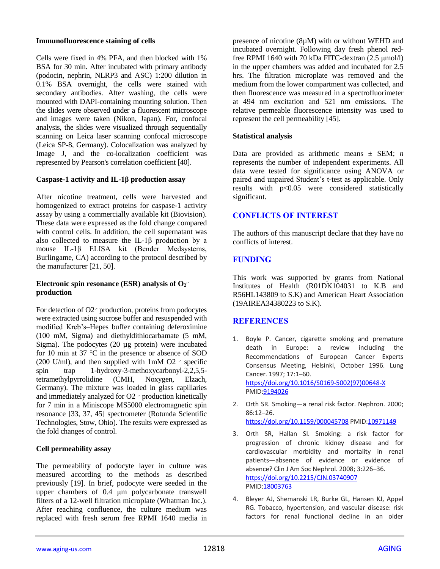#### **Immunofluorescence staining of cells**

Cells were fixed in 4% PFA, and then blocked with 1% BSA for 30 min. After incubated with primary antibody (podocin, nephrin, NLRP3 and ASC) 1:200 dilution in 0.1% BSA overnight, the cells were stained with secondary antibodies. After washing, the cells were mounted with DAPI-containing mounting solution. Then the slides were observed under a fluorescent microscope and images were taken (Nikon, Japan). For, confocal analysis, the slides were visualized through sequentially scanning on Leica laser scanning confocal microscope (Leica SP-8, Germany). Colocalization was analyzed by Image J, and the co-localization coefficient was represented by Pearson's correlation coefficient [40].

## **Caspase-1 activity and IL-1β production assay**

After nicotine treatment, cells were harvested and homogenized to extract proteins for caspase-1 activity assay by using a commercially available kit (Biovision). These data were expressed as the fold change compared with control cells. In addition, the cell supernatant was also collected to measure the IL-1β production by a mouse IL-1β ELISA kit (Bender Medsystems, Burlingame, CA) according to the protocol described by the manufacturer [21, 50].

#### **Electronic spin resonance (ESR) analysis of O<sup>2</sup> . production**

For detection of O2<sup>-</sup> production, proteins from podocytes were extracted using sucrose buffer and resuspended with modified Kreb's–Hepes buffer containing deferoximine (100 mM, Sigma) and diethyldithiocarbamate (5 mM, Sigma). The podocytes (20 µg protein) were incubated for 10 min at 37 °C in the presence or absence of SOD  $(200 \text{ U/ml})$ , and then supplied with 1mM O2  $\cdot$  specific spin trap 1-hydroxy-3-methoxycarbonyl-2,2,5,5 tetramethylpyrrolidine (CMH, Noxygen, Elzach, Germany). The mixture was loaded in glass capillaries and immediately analyzed for  $O2$   $\cdot$  production kinetically for 7 min in a Miniscope MS5000 electromagnetic spin resonance [33, 37, 45] spectrometer (Rotunda Scientific Technologies, Stow, Ohio). The results were expressed as the fold changes of control.

## **Cell permeability assay**

The permeability of podocyte layer in culture was measured according to the methods as described previously [19]. In brief, podocyte were seeded in the upper chambers of 0.4 μm polycarbonate transwell filters of a 12-well filtration microplate (Whatman Inc.). After reaching confluence, the culture medium was replaced with fresh serum free RPMI 1640 media in

presence of nicotine (8µM) with or without WEHD and incubated overnight. Following day fresh phenol redfree RPMI 1640 with 70 kDa FITC-dextran (2.5 μmol/l) in the upper chambers was added and incubated for 2.5 hrs. The filtration microplate was removed and the medium from the lower compartment was collected, and then fluorescence was measured in a spectrofluorimeter at 494 nm excitation and 521 nm emissions. The relative permeable fluorescence intensity was used to represent the cell permeability [45].

## **Statistical analysis**

Data are provided as arithmetic means  $\pm$  SEM; *n* represents the number of independent experiments. All data were tested for significance using ANOVA or paired and unpaired Student's t-test as applicable. Only results with p<0.05 were considered statistically significant.

## **CONFLICTS OF INTEREST**

The authors of this manuscript declare that they have no conflicts of interest.

## **FUNDING**

This work was supported by grants from National Institutes of Health (R01DK104031 to K.B and R56HL143809 to S.K) and American Heart Association (19AIREA34380223 to S.K).

## **REFERENCES**

- 1. Boyle P. Cancer, cigarette smoking and premature death in Europe: a review including the Recommendations of European Cancer Experts Consensus Meeting, Helsinki, October 1996. Lung Cancer. 1997; 17:1–60. [https://doi.org/10.1016/S0169-5002\(97\)00648-X](https://doi.org/10.1016/S0169-5002%2897%2900648-X) [PMID:9194026](https://www.ncbi.nlm.nih.gov/pubmed/9194026)
- 2. Orth SR. Smoking—a renal risk factor. Nephron. 2000; 86:12–26. <https://doi.org/10.1159/000045708> [PMID:10971149](https://www.ncbi.nlm.nih.gov/pubmed/10971149)
- 3. Orth SR, Hallan SI. Smoking: a risk factor for progression of chronic kidney disease and for cardiovascular morbidity and mortality in renal patients—absence of evidence or evidence of absence? Clin J Am Soc Nephrol. 2008; 3:226–36. <https://doi.org/10.2215/CJN.03740907> [PMID:18003763](https://www.ncbi.nlm.nih.gov/pubmed/18003763)
- 4. Bleyer AJ, Shemanski LR, Burke GL, Hansen KJ, Appel RG. Tobacco, hypertension, and vascular disease: risk factors for renal functional decline in an older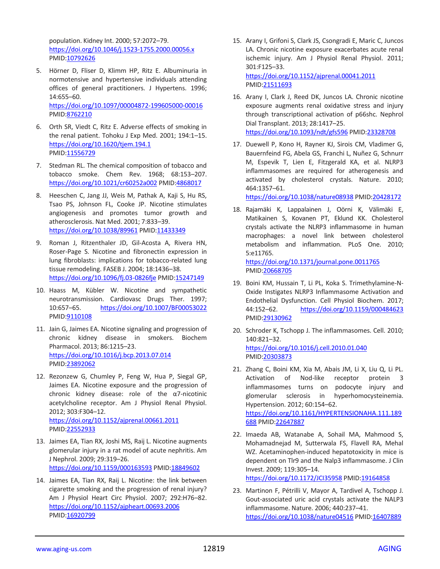population. Kidney Int. 2000; 57:2072–79. <https://doi.org/10.1046/j.1523-1755.2000.00056.x> [PMID:10792626](https://www.ncbi.nlm.nih.gov/pubmed/10792626)

- 5. Hörner D, Fliser D, Klimm HP, Ritz E. Albuminuria in normotensive and hypertensive individuals attending offices of general practitioners. J Hypertens. 1996; 14:655–60. <https://doi.org/10.1097/00004872-199605000-00016> [PMID:8762210](https://www.ncbi.nlm.nih.gov/pubmed/8762210)
- 6. Orth SR, Viedt C, Ritz E. Adverse effects of smoking in the renal patient. Tohoku J Exp Med. 2001; 194:1–15. <https://doi.org/10.1620/tjem.194.1> [PMID:11556729](https://www.ncbi.nlm.nih.gov/pubmed/11556729)
- 7. Stedman RL. The chemical composition of tobacco and tobacco smoke. Chem Rev. 1968; 68:153–207. <https://doi.org/10.1021/cr60252a002> [PMID:4868017](https://www.ncbi.nlm.nih.gov/pubmed/4868017)
- 8. Heeschen C, Jang JJ, Weis M, Pathak A, Kaji S, Hu RS, Tsao PS, Johnson FL, Cooke JP. Nicotine stimulates angiogenesis and promotes tumor growth and atherosclerosis. Nat Med. 2001; 7:833–39. <https://doi.org/10.1038/89961> [PMID:11433349](https://www.ncbi.nlm.nih.gov/pubmed/11433349)
- 9. Roman J, Ritzenthaler JD, Gil-Acosta A, Rivera HN, Roser-Page S. Nicotine and fibronectin expression in lung fibroblasts: implications for tobacco-related lung tissue remodeling. FASEB J. 2004; 18:1436–38. <https://doi.org/10.1096/fj.03-0826fje> [PMID:15247149](https://www.ncbi.nlm.nih.gov/pubmed/15247149)
- 10. Haass M, Kübler W. Nicotine and sympathetic neurotransmission. Cardiovasc Drugs Ther. 1997; 10:657–65. <https://doi.org/10.1007/BF00053022> [PMID:9110108](https://www.ncbi.nlm.nih.gov/pubmed/9110108)
- 11. Jain G, Jaimes EA. Nicotine signaling and progression of chronic kidney disease in smokers. Biochem Pharmacol. 2013; 86:1215–23. <https://doi.org/10.1016/j.bcp.2013.07.014> [PMID:23892062](https://www.ncbi.nlm.nih.gov/pubmed/23892062)
- 12. Rezonzew G, Chumley P, Feng W, Hua P, Siegal GP, Jaimes EA. Nicotine exposure and the progression of chronic kidney disease: role of the α7-nicotinic acetylcholine receptor. Am J Physiol Renal Physiol. 2012; 303:F304–12. <https://doi.org/10.1152/ajprenal.00661.2011> [PMID:22552933](https://www.ncbi.nlm.nih.gov/pubmed/22552933)
- 13. Jaimes EA, Tian RX, Joshi MS, Raij L. Nicotine augments glomerular injury in a rat model of acute nephritis. Am J Nephrol. 2009; 29:319–26. <https://doi.org/10.1159/000163593> [PMID:18849602](https://www.ncbi.nlm.nih.gov/pubmed/18849602)
- 14. Jaimes EA, Tian RX, Raij L. Nicotine: the link between cigarette smoking and the progression of renal injury? Am J Physiol Heart Circ Physiol. 2007; 292:H76–82. <https://doi.org/10.1152/ajpheart.00693.2006> [PMID:16920799](https://www.ncbi.nlm.nih.gov/pubmed/16920799)
- 15. Arany I, Grifoni S, Clark JS, Csongradi E, Maric C, Juncos LA. Chronic nicotine exposure exacerbates acute renal ischemic injury. Am J Physiol Renal Physiol. 2011; 301:F125–33. <https://doi.org/10.1152/ajprenal.00041.2011> [PMID:21511693](https://www.ncbi.nlm.nih.gov/pubmed/21511693)
- 16. Arany I, Clark J, Reed DK, Juncos LA. Chronic nicotine exposure augments renal oxidative stress and injury through transcriptional activation of p66shc. Nephrol Dial Transplant. 2013; 28:1417–25. <https://doi.org/10.1093/ndt/gfs596> [PMID:23328708](https://www.ncbi.nlm.nih.gov/pubmed/23328708)
- 17. Duewell P, Kono H, Rayner KJ, Sirois CM, Vladimer G, Bauernfeind FG, Abela GS, Franchi L, Nuñez G, Schnurr M, Espevik T, Lien E, Fitzgerald KA, et al. NLRP3 inflammasomes are required for atherogenesis and activated by cholesterol crystals. Nature. 2010; 464:1357–61.

<https://doi.org/10.1038/nature08938> [PMID:20428172](https://www.ncbi.nlm.nih.gov/pubmed/20428172)

18. Rajamäki K, Lappalainen J, Oörni K, Välimäki E, Matikainen S, Kovanen PT, Eklund KK. Cholesterol crystals activate the NLRP3 inflammasome in human macrophages: a novel link between cholesterol metabolism and inflammation. PLoS One. 2010; 5:e11765. <https://doi.org/10.1371/journal.pone.0011765>

[PMID:20668705](https://www.ncbi.nlm.nih.gov/pubmed/20668705)

- 19. Boini KM, Hussain T, Li PL, Koka S. Trimethylamine-N-Oxide Instigates NLRP3 Inflammasome Activation and Endothelial Dysfunction. Cell Physiol Biochem. 2017; 44:152–62. <https://doi.org/10.1159/000484623> [PMID:29130962](https://www.ncbi.nlm.nih.gov/pubmed/29130962)
- 20. Schroder K, Tschopp J. The inflammasomes. Cell. 2010; 140:821–32. <https://doi.org/10.1016/j.cell.2010.01.040> [PMID:20303873](https://www.ncbi.nlm.nih.gov/pubmed/20303873)
- 21. Zhang C, Boini KM, Xia M, Abais JM, Li X, Liu Q, Li PL. Activation of Nod-like receptor protein 3 inflammasomes turns on podocyte injury and glomerular sclerosis in hyperhomocysteinemia. Hypertension. 2012; 60:154–62. [https://doi.org/10.1161/HYPERTENSIONAHA.111.189](https://doi.org/10.1161/HYPERTENSIONAHA.111.189688) [688](https://doi.org/10.1161/HYPERTENSIONAHA.111.189688) [PMID:22647887](https://www.ncbi.nlm.nih.gov/pubmed/22647887)
- 22. Imaeda AB, Watanabe A, Sohail MA, Mahmood S, Mohamadnejad M, Sutterwala FS, Flavell RA, Mehal WZ. Acetaminophen-induced hepatotoxicity in mice is dependent on Tlr9 and the Nalp3 inflammasome. J Clin Invest. 2009; 119:305–14.

<https://doi.org/10.1172/JCI35958> [PMID:19164858](https://www.ncbi.nlm.nih.gov/pubmed/19164858)

23. Martinon F, Pétrilli V, Mayor A, Tardivel A, Tschopp J. Gout-associated uric acid crystals activate the NALP3 inflammasome. Nature. 2006; 440:237–41. <https://doi.org/10.1038/nature04516> [PMID:16407889](https://www.ncbi.nlm.nih.gov/pubmed/16407889)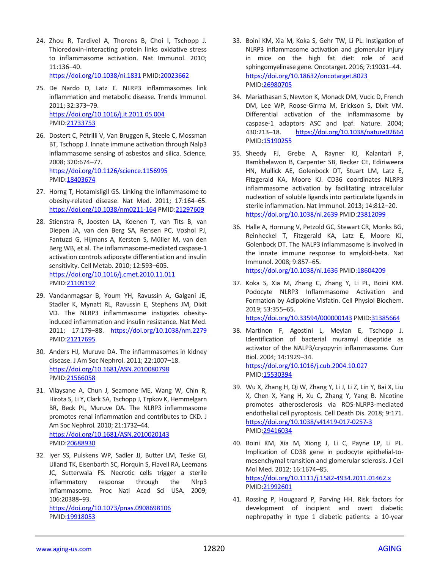24. Zhou R, Tardivel A, Thorens B, Choi I, Tschopp J. Thioredoxin-interacting protein links oxidative stress to inflammasome activation. Nat Immunol. 2010;  $11:136 - 40$ 

<https://doi.org/10.1038/ni.1831> [PMID:20023662](https://www.ncbi.nlm.nih.gov/pubmed/20023662)

- 25. De Nardo D, Latz E. NLRP3 inflammasomes link inflammation and metabolic disease. Trends Immunol. 2011; 32:373–79. <https://doi.org/10.1016/j.it.2011.05.004> [PMID:21733753](https://www.ncbi.nlm.nih.gov/pubmed/21733753)
- 26. Dostert C, Pétrilli V, Van Bruggen R, Steele C, Mossman BT, Tschopp J. Innate immune activation through Nalp3 inflammasome sensing of asbestos and silica. Science. 2008; 320:674–77. <https://doi.org/10.1126/science.1156995> [PMID:18403674](https://www.ncbi.nlm.nih.gov/pubmed/18403674)
- 27. Horng T, Hotamisligil GS. Linking the inflammasome to obesity-related disease. Nat Med. 2011; 17:164–65. <https://doi.org/10.1038/nm0211-164> [PMID:21297609](https://www.ncbi.nlm.nih.gov/pubmed/21297609)
- 28. Stienstra R, Joosten LA, Koenen T, van Tits B, van Diepen JA, van den Berg SA, Rensen PC, Voshol PJ, Fantuzzi G, Hijmans A, Kersten S, Müller M, van den Berg WB, et al. The inflammasome-mediated caspase-1 activation controls adipocyte differentiation and insulin sensitivity. Cell Metab. 2010; 12:593–605. <https://doi.org/10.1016/j.cmet.2010.11.011> [PMID:21109192](https://www.ncbi.nlm.nih.gov/pubmed/21109192)
- 29. Vandanmagsar B, Youm YH, Ravussin A, Galgani JE, Stadler K, Mynatt RL, Ravussin E, Stephens JM, Dixit VD. The NLRP3 inflammasome instigates obesityinduced inflammation and insulin resistance. Nat Med. 2011; 17:179–88. <https://doi.org/10.1038/nm.2279> [PMID:21217695](https://www.ncbi.nlm.nih.gov/pubmed/21217695)
- 30. Anders HJ, Muruve DA. The inflammasomes in kidney disease. J Am Soc Nephrol. 2011; 22:1007–18. <https://doi.org/10.1681/ASN.2010080798> [PMID:21566058](https://www.ncbi.nlm.nih.gov/pubmed/21566058)
- 31. Vilaysane A, Chun J, Seamone ME, Wang W, Chin R, Hirota S, Li Y, Clark SA, Tschopp J, Trpkov K, Hemmelgarn BR, Beck PL, Muruve DA. The NLRP3 inflammasome promotes renal inflammation and contributes to CKD. J Am Soc Nephrol. 2010; 21:1732–44. <https://doi.org/10.1681/ASN.2010020143> [PMID:20688930](https://www.ncbi.nlm.nih.gov/pubmed/20688930)
- 32. Iyer SS, Pulskens WP, Sadler JJ, Butter LM, Teske GJ, Ulland TK, Eisenbarth SC, Florquin S, Flavell RA, Leemans JC, Sutterwala FS. Necrotic cells trigger a sterile inflammatory response through the Nlrp3 inflammasome. Proc Natl Acad Sci USA. 2009; 106:20388–93. <https://doi.org/10.1073/pnas.0908698106> [PMID:19918053](https://www.ncbi.nlm.nih.gov/pubmed/19918053)
- 33. Boini KM, Xia M, Koka S, Gehr TW, Li PL. Instigation of NLRP3 inflammasome activation and glomerular injury in mice on the high fat diet: role of acid sphingomyelinase gene. Oncotarget. 2016; 7:19031–44. <https://doi.org/10.18632/oncotarget.8023> [PMID:26980705](https://www.ncbi.nlm.nih.gov/pubmed/26980705)
- 34. Mariathasan S, Newton K, Monack DM, Vucic D, French DM, Lee WP, Roose-Girma M, Erickson S, Dixit VM. Differential activation of the inflammasome by caspase-1 adaptors ASC and Ipaf. Nature. 2004; 430:213–18. <https://doi.org/10.1038/nature02664> [PMID:15190255](https://www.ncbi.nlm.nih.gov/pubmed/15190255)
- 35. Sheedy FJ, Grebe A, Rayner KJ, Kalantari P, Ramkhelawon B, Carpenter SB, Becker CE, Ediriweera HN, Mullick AE, Golenbock DT, Stuart LM, Latz E, Fitzgerald KA, Moore KJ. CD36 coordinates NLRP3 inflammasome activation by facilitating intracellular nucleation of soluble ligands into particulate ligands in sterile inflammation. Nat Immunol. 2013; 14:812–20. <https://doi.org/10.1038/ni.2639> [PMID:23812099](https://www.ncbi.nlm.nih.gov/pubmed/23812099)
- 36. Halle A, Hornung V, Petzold GC, Stewart CR, Monks BG, Reinheckel T, Fitzgerald KA, Latz E, Moore KJ, Golenbock DT. The NALP3 inflammasome is involved in the innate immune response to amyloid-beta. Nat Immunol. 2008; 9:857–65. <https://doi.org/10.1038/ni.1636> [PMID:18604209](https://www.ncbi.nlm.nih.gov/pubmed/18604209)

```
37. Koka S, Xia M, Zhang C, Zhang Y, Li PL, Boini KM.
```
- Podocyte NLRP3 Inflammasome Activation and Formation by Adipokine Visfatin. Cell Physiol Biochem. 2019; 53:355–65. <https://doi.org/10.33594/000000143> [PMID:31385664](https://www.ncbi.nlm.nih.gov/pubmed/31385664)
- 38. Martinon F, Agostini L, Meylan E, Tschopp J. Identification of bacterial muramyl dipeptide as activator of the NALP3/cryopyrin inflammasome. Curr Biol. 2004; 14:1929–34. <https://doi.org/10.1016/j.cub.2004.10.027> [PMID:15530394](https://www.ncbi.nlm.nih.gov/pubmed/15530394)
- 39. Wu X, Zhang H, Qi W, Zhang Y, Li J, Li Z, Lin Y, Bai X, Liu X, Chen X, Yang H, Xu C, Zhang Y, Yang B. Nicotine promotes atherosclerosis via ROS-NLRP3-mediated endothelial cell pyroptosis. Cell Death Dis. 2018; 9:171. <https://doi.org/10.1038/s41419-017-0257-3> [PMID:29416034](https://www.ncbi.nlm.nih.gov/pubmed/29416034)
- 40. Boini KM, Xia M, Xiong J, Li C, Payne LP, Li PL. Implication of CD38 gene in podocyte epithelial-tomesenchymal transition and glomerular sclerosis. J Cell Mol Med. 2012; 16:1674–85. <https://doi.org/10.1111/j.1582-4934.2011.01462.x> [PMID:21992601](https://www.ncbi.nlm.nih.gov/pubmed/21992601)
- 41. Rossing P, Hougaard P, Parving HH. Risk factors for development of incipient and overt diabetic nephropathy in type 1 diabetic patients: a 10-year